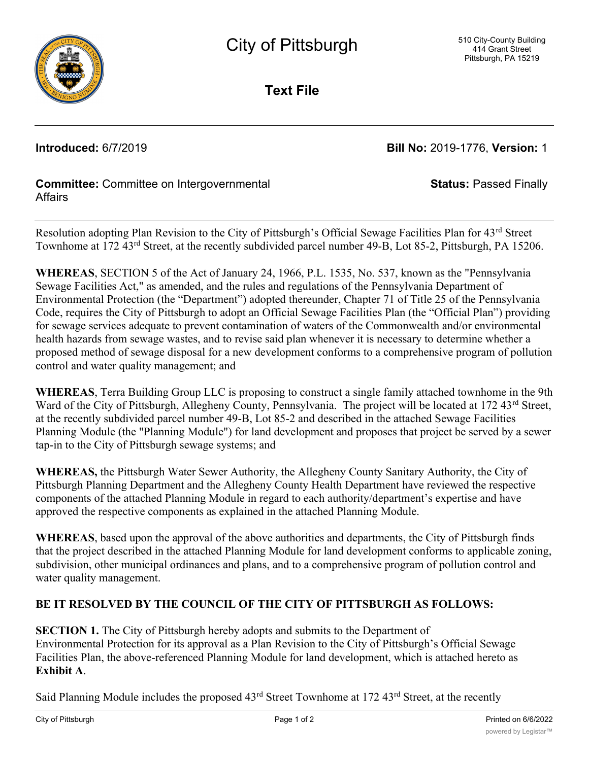

**Text File**

**Introduced:** 6/7/2019 **Bill No:** 2019-1776, **Version:** 1

**Status:** Passed Finally

## **Committee:** Committee on Intergovernmental **Affairs**

Resolution adopting Plan Revision to the City of Pittsburgh's Official Sewage Facilities Plan for 43rd Street Townhome at 172 43rd Street, at the recently subdivided parcel number 49-B, Lot 85-2, Pittsburgh, PA 15206.

**WHEREAS**, SECTION 5 of the Act of January 24, 1966, P.L. 1535, No. 537, known as the "Pennsylvania Sewage Facilities Act," as amended, and the rules and regulations of the Pennsylvania Department of Environmental Protection (the "Department") adopted thereunder, Chapter 71 of Title 25 of the Pennsylvania Code, requires the City of Pittsburgh to adopt an Official Sewage Facilities Plan (the "Official Plan") providing for sewage services adequate to prevent contamination of waters of the Commonwealth and/or environmental health hazards from sewage wastes, and to revise said plan whenever it is necessary to determine whether a proposed method of sewage disposal for a new development conforms to a comprehensive program of pollution control and water quality management; and

**WHEREAS**, Terra Building Group LLC is proposing to construct a single family attached townhome in the 9th Ward of the City of Pittsburgh, Allegheny County, Pennsylvania. The project will be located at 172 43<sup>rd</sup> Street, at the recently subdivided parcel number 49-B, Lot 85-2 and described in the attached Sewage Facilities Planning Module (the "Planning Module") for land development and proposes that project be served by a sewer tap-in to the City of Pittsburgh sewage systems; and

**WHEREAS,** the Pittsburgh Water Sewer Authority, the Allegheny County Sanitary Authority, the City of Pittsburgh Planning Department and the Allegheny County Health Department have reviewed the respective components of the attached Planning Module in regard to each authority/department's expertise and have approved the respective components as explained in the attached Planning Module.

**WHEREAS**, based upon the approval of the above authorities and departments, the City of Pittsburgh finds that the project described in the attached Planning Module for land development conforms to applicable zoning, subdivision, other municipal ordinances and plans, and to a comprehensive program of pollution control and water quality management.

## **BE IT RESOLVED BY THE COUNCIL OF THE CITY OF PITTSBURGH AS FOLLOWS:**

**SECTION 1.** The City of Pittsburgh hereby adopts and submits to the Department of Environmental Protection for its approval as a Plan Revision to the City of Pittsburgh's Official Sewage Facilities Plan, the above-referenced Planning Module for land development, which is attached hereto as **Exhibit A**.

Said Planning Module includes the proposed 43<sup>rd</sup> Street Townhome at 172 43<sup>rd</sup> Street, at the recently